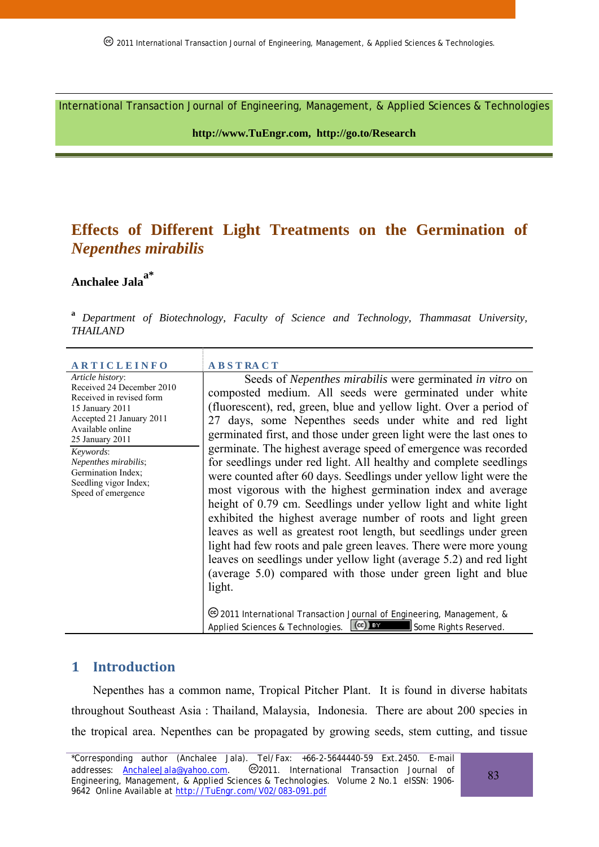International Transaction Journal of Engineering, Management, & Applied Sciences & Technologies

**http://www.TuEngr.com, http://go.to/Research** 

## **Effects of Different Light Treatments on the Germination of**  *Nepenthes mirabilis*

# **Anchalee Jalaa\***

**<sup>a</sup>***Department of Biotechnology, Faculty of Science and Technology, Thammasat University, THAILAND*

| <b>ARTICLEINFO</b>                                                                                                                                                                                                                                                        | <b>ABSTRACT</b>                                                                                                                                                                                                                                                                                                                                                                                                                                                                                                                                                                                                                                                                                                                                                                                                                                                                                                                                                                                                                                    |
|---------------------------------------------------------------------------------------------------------------------------------------------------------------------------------------------------------------------------------------------------------------------------|----------------------------------------------------------------------------------------------------------------------------------------------------------------------------------------------------------------------------------------------------------------------------------------------------------------------------------------------------------------------------------------------------------------------------------------------------------------------------------------------------------------------------------------------------------------------------------------------------------------------------------------------------------------------------------------------------------------------------------------------------------------------------------------------------------------------------------------------------------------------------------------------------------------------------------------------------------------------------------------------------------------------------------------------------|
| Article history:<br>Received 24 December 2010<br>Received in revised form<br>15 January 2011<br>Accepted 21 January 2011<br>Available online<br>25 January 2011<br>Keywords:<br>Nepenthes mirabilis;<br>Germination Index;<br>Seedling vigor Index;<br>Speed of emergence | Seeds of <i>Nepenthes mirabilis</i> were germinated <i>in vitro</i> on<br>composted medium. All seeds were germinated under white<br>(fluorescent), red, green, blue and yellow light. Over a period of<br>27 days, some Nepenthes seeds under white and red light<br>germinated first, and those under green light were the last ones to<br>germinate. The highest average speed of emergence was recorded<br>for seedlings under red light. All healthy and complete seedlings<br>were counted after 60 days. Seedlings under yellow light were the<br>most vigorous with the highest germination index and average<br>height of 0.79 cm. Seedlings under yellow light and white light<br>exhibited the highest average number of roots and light green<br>leaves as well as greatest root length, but seedlings under green<br>light had few roots and pale green leaves. There were more young<br>leaves on seedlings under yellow light (average 5.2) and red light<br>(average 5.0) compared with those under green light and blue<br>light. |
|                                                                                                                                                                                                                                                                           | <sup>©</sup> 2011 International Transaction Journal of Engineering, Management, &<br>$\left(\mathrm{cc}\right)$ by<br>Applied Sciences & Technologies.<br>Some Rights Reserved.                                                                                                                                                                                                                                                                                                                                                                                                                                                                                                                                                                                                                                                                                                                                                                                                                                                                    |

#### **1 Introduction**

Nepenthes has a common name, Tropical Pitcher Plant. It is found in diverse habitats throughout Southeast Asia : Thailand, Malaysia, Indonesia. There are about 200 species in the tropical area. Nepenthes can be propagated by growing seeds, stem cutting, and tissue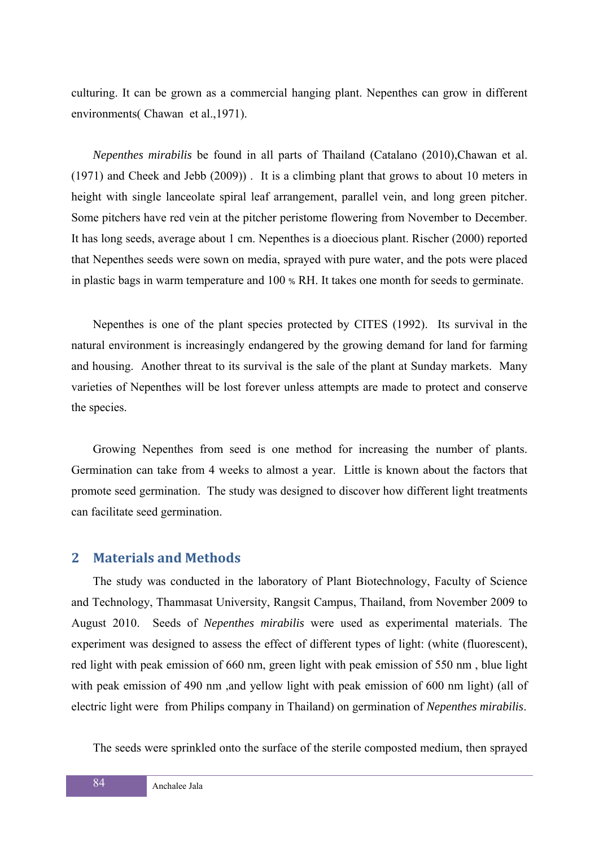culturing. It can be grown as a commercial hanging plant. Nepenthes can grow in different environments( Chawan et al.,1971).

*Nepenthes mirabilis* be found in all parts of Thailand (Catalano (2010),Chawan et al. (1971) and Cheek and Jebb (2009)) . It is a climbing plant that grows to about 10 meters in height with single lanceolate spiral leaf arrangement, parallel vein, and long green pitcher. Some pitchers have red vein at the pitcher peristome flowering from November to December. It has long seeds, average about 1 cm. Nepenthes is a dioecious plant. Rischer (2000) reported that Nepenthes seeds were sown on media, sprayed with pure water, and the pots were placed in plastic bags in warm temperature and 100 % RH. It takes one month for seeds to germinate.

Nepenthes is one of the plant species protected by CITES (1992). Its survival in the natural environment is increasingly endangered by the growing demand for land for farming and housing. Another threat to its survival is the sale of the plant at Sunday markets. Many varieties of Nepenthes will be lost forever unless attempts are made to protect and conserve the species.

Growing Nepenthes from seed is one method for increasing the number of plants. Germination can take from 4 weeks to almost a year. Little is known about the factors that promote seed germination. The study was designed to discover how different light treatments can facilitate seed germination.

#### **2 Materials and Methods**

The study was conducted in the laboratory of Plant Biotechnology, Faculty of Science and Technology, Thammasat University, Rangsit Campus, Thailand, from November 2009 to August 2010. Seeds of *Nepenthes mirabilis* were used as experimental materials. The experiment was designed to assess the effect of different types of light: (white (fluorescent), red light with peak emission of 660 nm, green light with peak emission of 550 nm , blue light with peak emission of 490 nm, and yellow light with peak emission of 600 nm light) (all of electric light were from Philips company in Thailand) on germination of *Nepenthes mirabilis*.

The seeds were sprinkled onto the surface of the sterile composted medium, then sprayed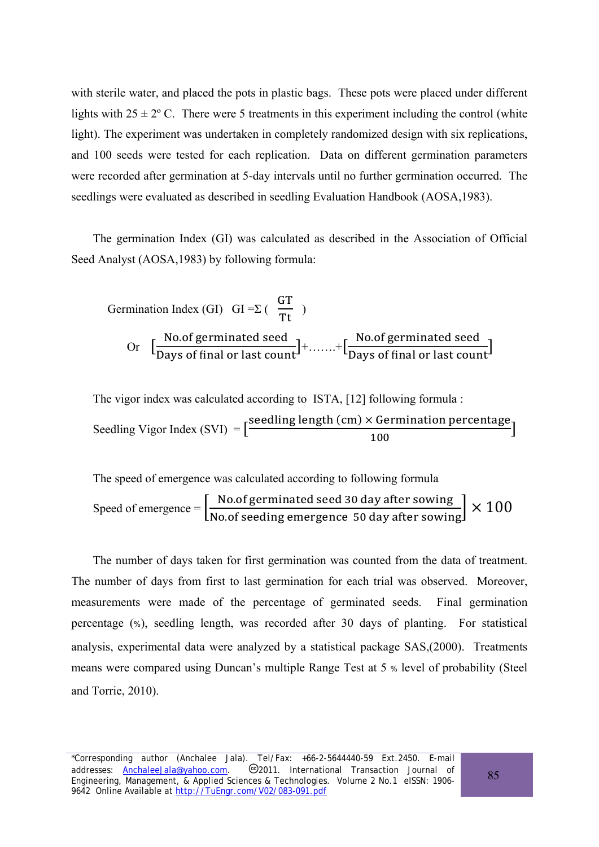with sterile water, and placed the pots in plastic bags. These pots were placed under different lights with  $25 \pm 2^{\circ}$  C. There were 5 treatments in this experiment including the control (white light). The experiment was undertaken in completely randomized design with six replications, and 100 seeds were tested for each replication. Data on different germination parameters were recorded after germination at 5-day intervals until no further germination occurred. The seedlings were evaluated as described in seedling Evaluation Handbook (AOSA,1983).

The germination Index (GI) was calculated as described in the Association of Official Seed Analyst (AOSA,1983) by following formula:

Germination Index (GI) 
$$
GI = \Sigma
$$
 ( $\frac{GT}{Tt}$ )  
Or  $\left[\frac{\text{No.of germinated seed}}{\text{Days of final or last count}}\right] + \dots + \left[\frac{\text{No.of germinated seed}}{\text{Days of final or last count}}\right]$ 

The vigor index was calculated according to ISTA, [12] following formula : Seedling Vigor Index (SVI)  $= \left[\frac{\text{seedling length (cm)} \times \text{Germanation percentage}}{100}\right]$ 

The speed of emergence was calculated according to following formula Speed of emergence  $=$   $\left[\frac{\text{No.of germinated seed 30 day after sowie}}{\text{No.of seeding emergence 50 day after sowie}}\right] \times 100$ 

The number of days taken for first germination was counted from the data of treatment. The number of days from first to last germination for each trial was observed. Moreover, measurements were made of the percentage of germinated seeds. Final germination percentage (%), seedling length, was recorded after 30 days of planting. For statistical analysis, experimental data were analyzed by a statistical package SAS,(2000). Treatments means were compared using Duncan's multiple Range Test at 5 % level of probability (Steel and Torrie, 2010).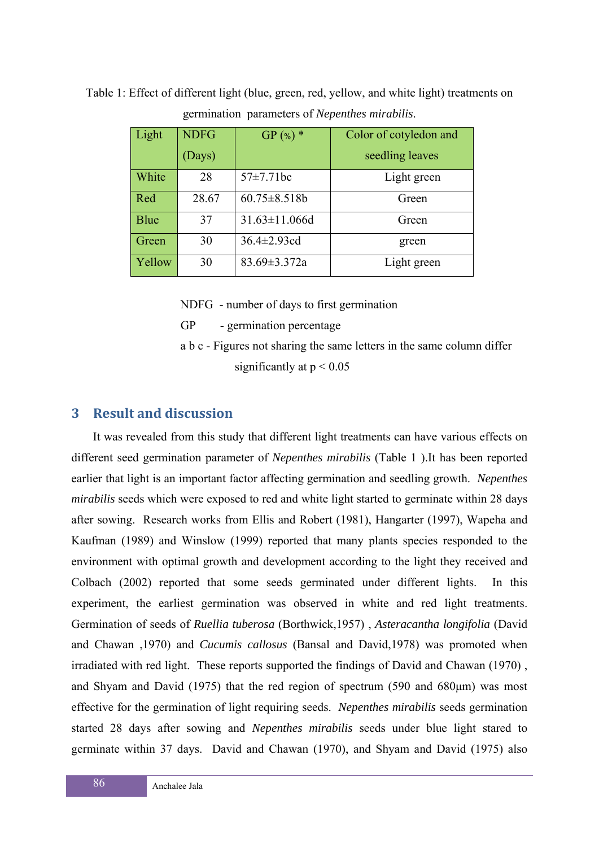Table 1: Effect of different light (blue, green, red, yellow, and white light) treatments on germination parameters of *Nepenthes mirabilis*.

| Light       | <b>NDFG</b> | $GP$ (%) $*$         | Color of cotyledon and |
|-------------|-------------|----------------------|------------------------|
|             | (Days)      |                      | seedling leaves        |
| White       | 28          | $57 \pm 7.71$ bc     | Light green            |
| Red         | 28.67       | $60.75 \pm 8.518b$   | Green                  |
| <b>Blue</b> | 37          | $31.63 \pm 11.066$ d | Green                  |
| Green       | 30          | $36.4 \pm 2.93$ cd   | green                  |
| Yellow      | 30          | $83.69 \pm 3.372a$   | Light green            |

NDFG - number of days to first germination

GP - germination percentage

 a b c - Figures not sharing the same letters in the same column differ significantly at  $p < 0.05$ 

## **3 Result and discussion**

It was revealed from this study that different light treatments can have various effects on different seed germination parameter of *Nepenthes mirabilis* (Table 1 ).It has been reported earlier that light is an important factor affecting germination and seedling growth. *Nepenthes mirabilis* seeds which were exposed to red and white light started to germinate within 28 days after sowing. Research works from Ellis and Robert (1981), Hangarter (1997), Wapeha and Kaufman (1989) and Winslow (1999) reported that many plants species responded to the environment with optimal growth and development according to the light they received and Colbach (2002) reported that some seeds germinated under different lights. In this experiment, the earliest germination was observed in white and red light treatments. Germination of seeds of *Ruellia tuberosa* (Borthwick,1957) , *Asteracantha longifolia* (David and Chawan ,1970) and *Cucumis callosus* (Bansal and David,1978) was promoted when irradiated with red light. These reports supported the findings of David and Chawan (1970) , and Shyam and David (1975) that the red region of spectrum (590 and 680μm) was most effective for the germination of light requiring seeds. *Nepenthes mirabilis* seeds germination started 28 days after sowing and *Nepenthes mirabilis* seeds under blue light stared to germinate within 37 days. David and Chawan (1970), and Shyam and David (1975) also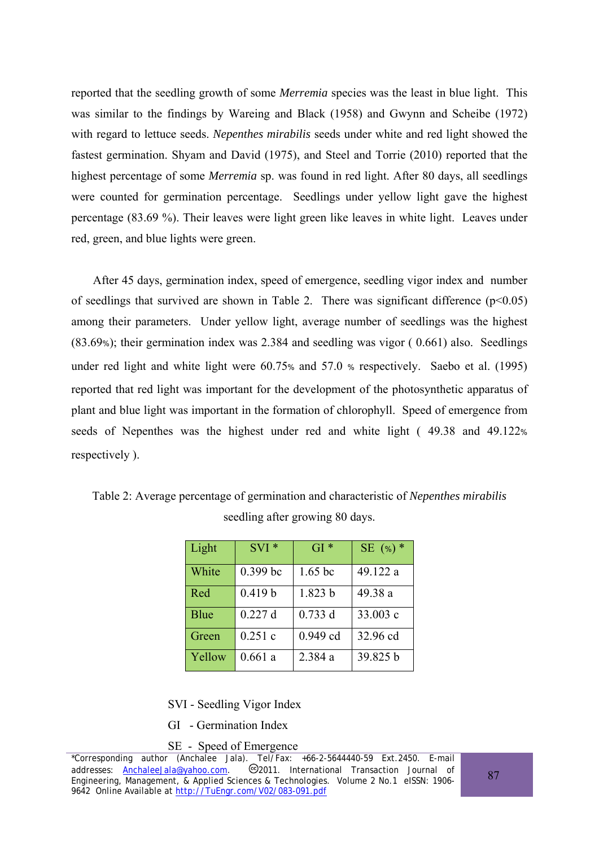reported that the seedling growth of some *Merremia* species was the least in blue light. This was similar to the findings by Wareing and Black (1958) and Gwynn and Scheibe (1972) with regard to lettuce seeds. *Nepenthes mirabilis* seeds under white and red light showed the fastest germination. Shyam and David (1975), and Steel and Torrie (2010) reported that the highest percentage of some *Merremia* sp. was found in red light. After 80 days, all seedlings were counted for germination percentage. Seedlings under yellow light gave the highest percentage (83.69 %). Their leaves were light green like leaves in white light. Leaves under red, green, and blue lights were green.

After 45 days, germination index, speed of emergence, seedling vigor index and number of seedlings that survived are shown in Table 2. There was significant difference  $(p<0.05)$ among their parameters. Under yellow light, average number of seedlings was the highest (83.69%); their germination index was 2.384 and seedling was vigor ( 0.661) also. Seedlings under red light and white light were 60.75% and 57.0 % respectively. Saebo et al. (1995) reported that red light was important for the development of the photosynthetic apparatus of plant and blue light was important in the formation of chlorophyll. Speed of emergence from seeds of Nepenthes was the highest under red and white light ( 49.38 and 49.122% respectively ).

| Light  | $SVI*$     | $GI*$     | SE $(*)$ * |
|--------|------------|-----------|------------|
| White  | $0.399$ bc | $1.65$ bc | 49.122 a   |
| Red    | 0.419 b    | 1.823 b   | 49.38 a    |
| Blue   | 0.227d     | 0.733 d   | 33.003 c   |
| Green  | 0.251c     | 0.949 cd  | 32.96 cd   |
| Yellow | 0.661a     | 2.384 a   | 39.825 b   |

Table 2: Average percentage of germination and characteristic of *Nepenthes mirabilis* seedling after growing 80 days.

SVI - Seedling Vigor Index

GI - Germination Index

SE - Speed of Emergence

<sup>\*</sup>Corresponding author (Anchalee Jala). Tel/Fax: +66-2-5644440-59 Ext.2450. E-mail addresses: **AnchaleeJala@yahoo.com.** 2011. International Transaction Journal of Engineering, Management, & Applied Sciences & Technologies. Volume 2 No.1 eISSN: 1906- 9642 Online Available at http://TuEngr.com/V02/083-091.pdf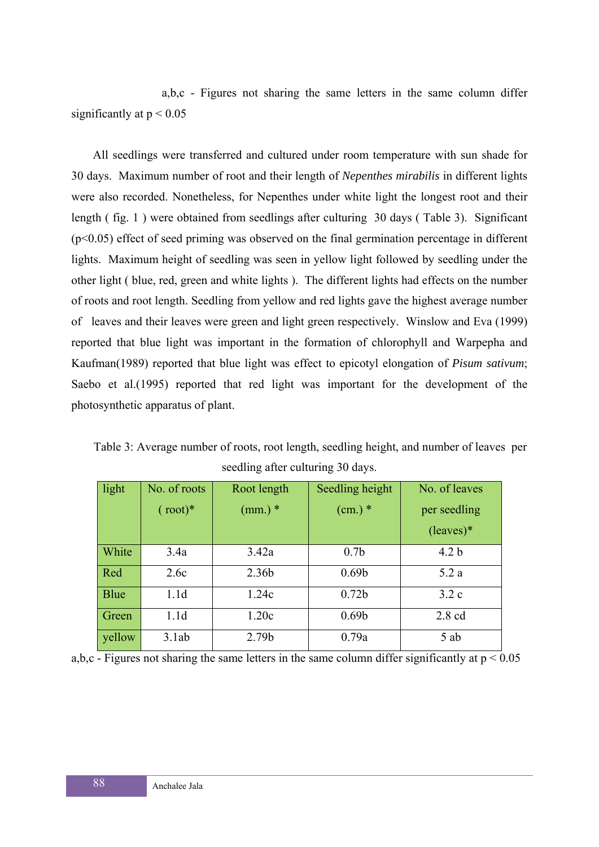a,b,c - Figures not sharing the same letters in the same column differ significantly at  $p < 0.05$ 

All seedlings were transferred and cultured under room temperature with sun shade for 30 days. Maximum number of root and their length of *Nepenthes mirabilis* in different lights were also recorded. Nonetheless, for Nepenthes under white light the longest root and their length ( fig. 1 ) were obtained from seedlings after culturing 30 days ( Table 3). Significant  $(p<0.05)$  effect of seed priming was observed on the final germination percentage in different lights. Maximum height of seedling was seen in yellow light followed by seedling under the other light ( blue, red, green and white lights ). The different lights had effects on the number of roots and root length. Seedling from yellow and red lights gave the highest average number of leaves and their leaves were green and light green respectively. Winslow and Eva (1999) reported that blue light was important in the formation of chlorophyll and Warpepha and Kaufman(1989) reported that blue light was effect to epicotyl elongation of *Pisum sativum*; Saebo et al.(1995) reported that red light was important for the development of the photosynthetic apparatus of plant.

| light       | No. of roots      | Root length | Seedling height   | No. of leaves    |
|-------------|-------------------|-------------|-------------------|------------------|
|             | $(\text{root})^*$ | $(mm.)$ *   | $(cm.)$ *         | per seedling     |
|             |                   |             |                   | $(leaves)*$      |
| White       | 3.4a              | 3.42a       | 0.7 <sub>b</sub>  | 4.2 <sub>b</sub> |
| Red         | 2.6c              | 2.36b       | 0.69 <sub>b</sub> | 5.2a             |
| <b>Blue</b> | 1.1d              | 1.24c       | 0.72 <sub>b</sub> | 3.2c             |
| Green       | 1.1d              | 1.20c       | 0.69 <sub>b</sub> | $2.8 \text{ cd}$ |
| yellow      | 3.1ab             | 2.79b       | 0.79a             | 5 ab             |

Table 3: Average number of roots, root length, seedling height, and number of leaves per seedling after culturing 30 days.

a,b,c  $\overline{\phantom{a}}$ - Figures not sharing the same letters in the same column differ significantly at  $p < 0.05$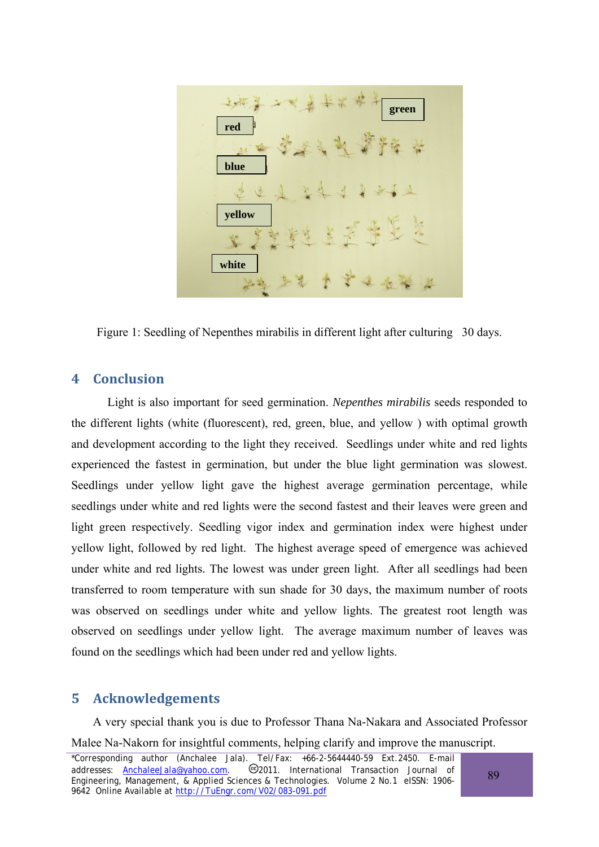

Figure 1: Seedling of Nepenthes mirabilis in different light after culturing 30 days.

### **4 Conclusion**

Light is also important for seed germination. *Nepenthes mirabilis* seeds responded to the different lights (white (fluorescent), red, green, blue, and yellow ) with optimal growth and development according to the light they received. Seedlings under white and red lights experienced the fastest in germination, but under the blue light germination was slowest. Seedlings under yellow light gave the highest average germination percentage, while seedlings under white and red lights were the second fastest and their leaves were green and light green respectively. Seedling vigor index and germination index were highest under yellow light, followed by red light. The highest average speed of emergence was achieved under white and red lights. The lowest was under green light. After all seedlings had been transferred to room temperature with sun shade for 30 days, the maximum number of roots was observed on seedlings under white and yellow lights. The greatest root length was observed on seedlings under yellow light. The average maximum number of leaves was found on the seedlings which had been under red and yellow lights.

## **5 Acknowledgements**

A very special thank you is due to Professor Thana Na-Nakara and Associated Professor Malee Na-Nakorn for insightful comments, helping clarify and improve the manuscript.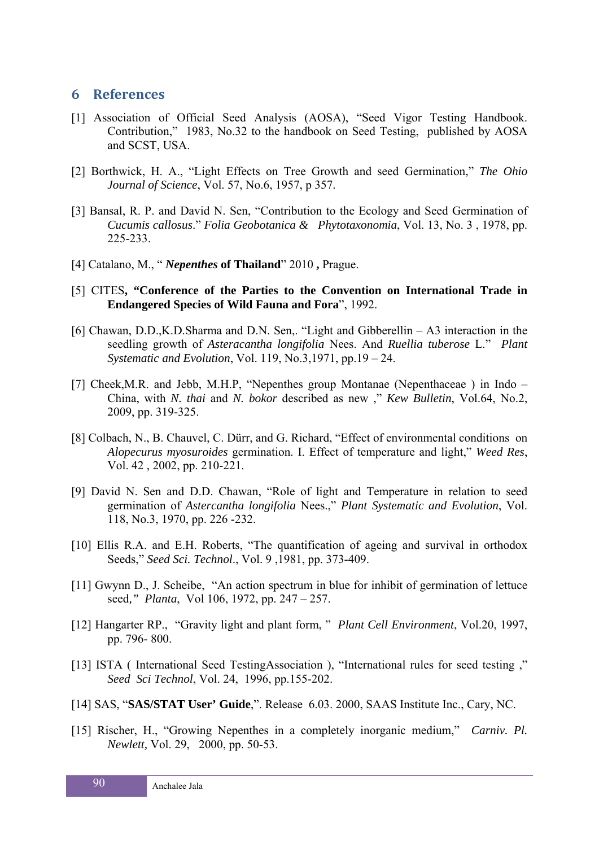#### **6 References**

- [1] Association of Official Seed Analysis (AOSA), "Seed Vigor Testing Handbook. Contribution," 1983, No.32 to the handbook on Seed Testing, published by AOSA and SCST, USA.
- [2] Borthwick, H. A., "Light Effects on Tree Growth and seed Germination," *The Ohio Journal of Science*, Vol. 57, No.6, 1957, p 357.
- [3] Bansal, R. P. and David N. Sen, "Contribution to the Ecology and Seed Germination of *Cucumis callosus*." *Folia Geobotanica & Phytotaxonomia*, Vol. 13, No. 3 , 1978, pp. 225-233.
- [4] Catalano, M., " *Nepenthes* **of Thailand**" 2010 **,** Prague.
- [5] CITES**, "Conference of the Parties to the Convention on International Trade in Endangered Species of Wild Fauna and Fora**", 1992.
- [6] Chawan, D.D.,K.D.Sharma and D.N. Sen,. "Light and Gibberellin A3 interaction in the seedling growth of *Asteracantha longifolia* Nees. And *Ruellia tuberose* L." *Plant Systematic and Evolution*, Vol. 119, No.3,1971, pp.19 – 24.
- [7] Cheek,M.R. and Jebb, M.H.P, "Nepenthes group Montanae (Nepenthaceae ) in Indo China, with *N. thai* and *N. bokor* described as new ," *Kew Bulletin*, Vol.64, No.2, 2009, pp. 319-325.
- [8] Colbach, N., B. Chauvel, C. Dürr, and G. Richard, "Effect of environmental conditions on *Alopecurus myosuroides* germination. I. Effect of temperature and light," *Weed Res*, Vol. 42 , 2002, pp. 210-221.
- [9] David N. Sen and D.D. Chawan, "Role of light and Temperature in relation to seed germination of *Astercantha longifolia* Nees.," *Plant Systematic and Evolution*, Vol. 118, No.3, 1970, pp. 226 -232.
- [10] Ellis R.A. and E.H. Roberts, "The quantification of ageing and survival in orthodox Seeds," *Seed Sci. Technol*., Vol. 9 ,1981, pp. 373-409.
- [11] Gwynn D., J. Scheibe, "An action spectrum in blue for inhibit of germination of lettuce seed*," Planta*, Vol 106, 1972, pp. 247 – 257.
- [12] Hangarter RP., "Gravity light and plant form, " *Plant Cell Environment*, Vol.20, 1997, pp. 796- 800.
- [13] ISTA ( International Seed TestingAssociation ), "International rules for seed testing ," *Seed Sci Technol*, Vol. 24, 1996, pp.155-202.
- [14] SAS, "**SAS/STAT User' Guide**,". Release 6.03. 2000, SAAS Institute Inc., Cary, NC.
- [15] Rischer, H., "Growing Nepenthes in a completely inorganic medium," *Carniv. Pl. Newlett,* Vol. 29, 2000, pp. 50-53.